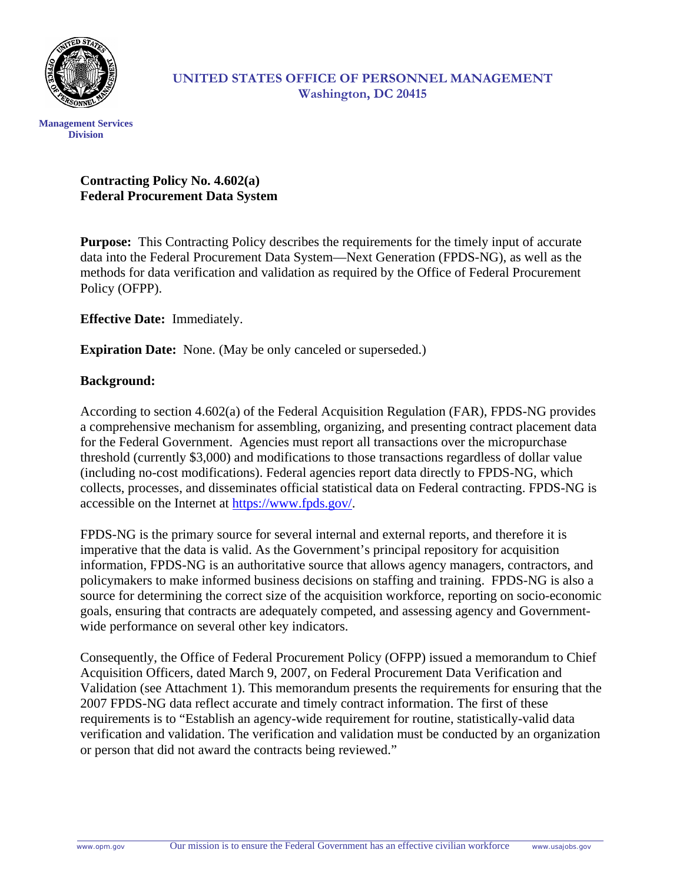

#### **UNITED STATES OFFICE OF PERSONNEL MANAGEMENT Washington, DC 20415**

### **Contracting Policy No. 4.602(a) Federal Procurement Data System**

**Purpose:** This Contracting Policy describes the requirements for the timely input of accurate data into the Federal Procurement Data System—Next Generation (FPDS-NG), as well as the methods for data verification and validation as required by the Office of Federal Procurement Policy (OFPP).

**Effective Date:** Immediately.

**Expiration Date:** None. (May be only canceled or superseded.)

#### **Background:**

According to section 4.602(a) of the Federal Acquisition Regulation (FAR), FPDS-NG provides a comprehensive mechanism for assembling, organizing, and presenting contract placement data for the Federal Government. Agencies must report all transactions over the micropurchase threshold (currently \$3,000) and modifications to those transactions regardless of dollar value (including no-cost modifications). Federal agencies report data directly to FPDS-NG, which collects, processes, and disseminates official statistical data on Federal contracting. FPDS-NG is accessible on the Internet at [https://www.fpds.gov/.](https://www.fpds.gov/)

FPDS-NG is the primary source for several internal and external reports, and therefore it is imperative that the data is valid. As the Government's principal repository for acquisition information, FPDS-NG is an authoritative source that allows agency managers, contractors, and policymakers to make informed business decisions on staffing and training. FPDS-NG is also a source for determining the correct size of the acquisition workforce, reporting on socio-economic goals, ensuring that contracts are adequately competed, and assessing agency and Governmentwide performance on several other key indicators.

Consequently, the Office of Federal Procurement Policy (OFPP) issued a memorandum to Chief Acquisition Officers, dated March 9, 2007, on Federal Procurement Data Verification and Validation (see Attachment 1). This memorandum presents the requirements for ensuring that the 2007 FPDS-NG data reflect accurate and timely contract information. The first of these requirements is to "Establish an agency-wide requirement for routine, statistically-valid data verification and validation. The verification and validation must be conducted by an organization or person that did not award the contracts being reviewed."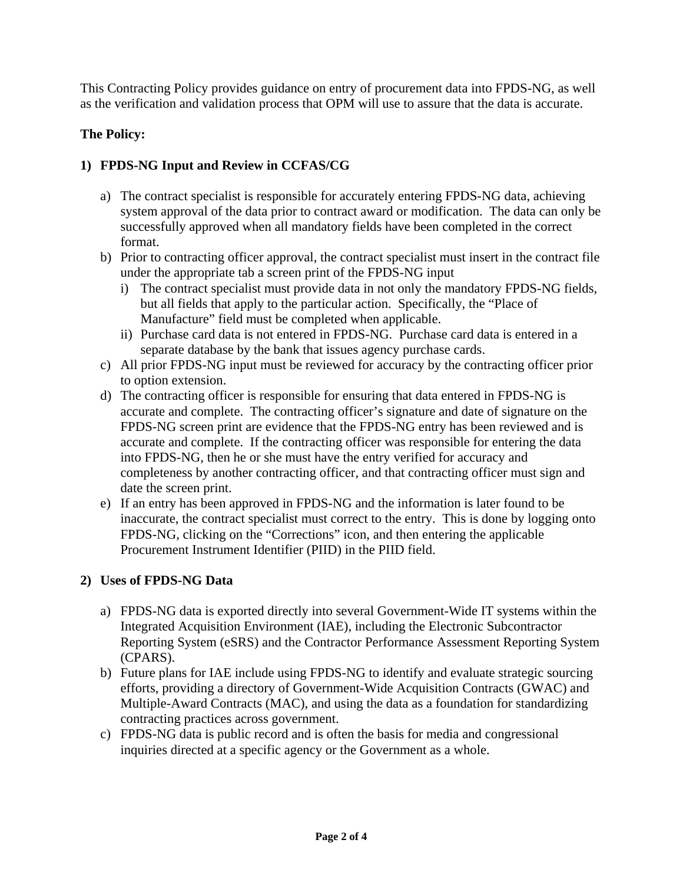This Contracting Policy provides guidance on entry of procurement data into FPDS-NG, as well as the verification and validation process that OPM will use to assure that the data is accurate.

## **The Policy:**

## **1) FPDS-NG Input and Review in CCFAS/CG**

- a) The contract specialist is responsible for accurately entering FPDS-NG data, achieving system approval of the data prior to contract award or modification. The data can only be successfully approved when all mandatory fields have been completed in the correct format.
- b) Prior to contracting officer approval, the contract specialist must insert in the contract file under the appropriate tab a screen print of the FPDS-NG input
	- i) The contract specialist must provide data in not only the mandatory FPDS-NG fields, but all fields that apply to the particular action. Specifically, the "Place of Manufacture" field must be completed when applicable.
	- ii) Purchase card data is not entered in FPDS-NG. Purchase card data is entered in a separate database by the bank that issues agency purchase cards.
- c) All prior FPDS-NG input must be reviewed for accuracy by the contracting officer prior to option extension.
- d) The contracting officer is responsible for ensuring that data entered in FPDS-NG is accurate and complete. The contracting officer's signature and date of signature on the FPDS-NG screen print are evidence that the FPDS-NG entry has been reviewed and is accurate and complete. If the contracting officer was responsible for entering the data into FPDS-NG, then he or she must have the entry verified for accuracy and completeness by another contracting officer, and that contracting officer must sign and date the screen print.
- e) If an entry has been approved in FPDS-NG and the information is later found to be inaccurate, the contract specialist must correct to the entry. This is done by logging onto FPDS-NG, clicking on the "Corrections" icon, and then entering the applicable Procurement Instrument Identifier (PIID) in the PIID field.

#### **2) Uses of FPDS-NG Data**

- a) FPDS-NG data is exported directly into several Government-Wide IT systems within the Integrated Acquisition Environment (IAE), including the Electronic Subcontractor Reporting System (eSRS) and the Contractor Performance Assessment Reporting System (CPARS).
- b) Future plans for IAE include using FPDS-NG to identify and evaluate strategic sourcing efforts, providing a directory of Government-Wide Acquisition Contracts (GWAC) and Multiple-Award Contracts (MAC), and using the data as a foundation for standardizing contracting practices across government.
- c) FPDS-NG data is public record and is often the basis for media and congressional inquiries directed at a specific agency or the Government as a whole.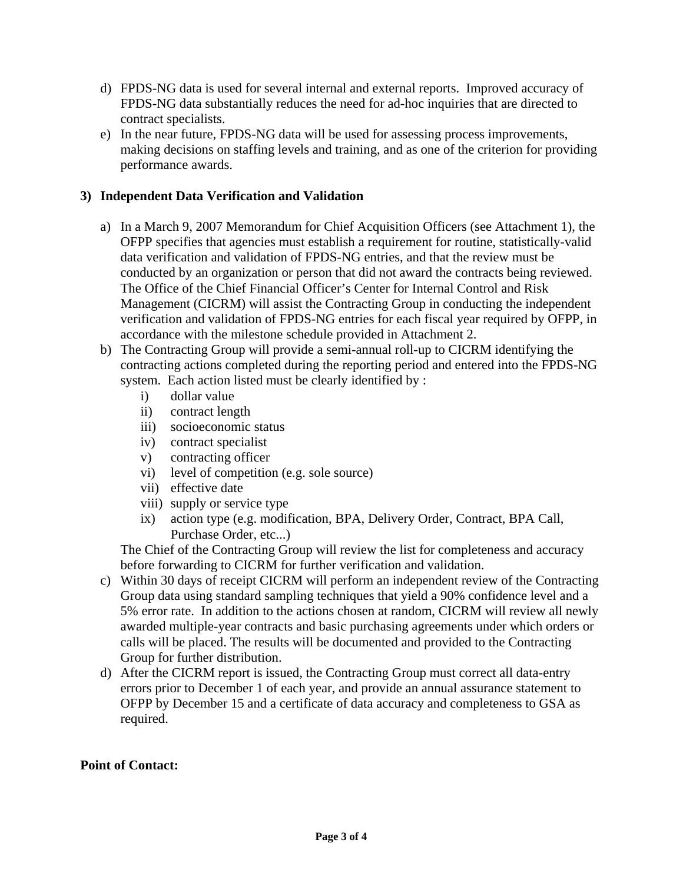- d) FPDS-NG data is used for several internal and external reports. Improved accuracy of FPDS-NG data substantially reduces the need for ad-hoc inquiries that are directed to contract specialists.
- e) In the near future, FPDS-NG data will be used for assessing process improvements, making decisions on staffing levels and training, and as one of the criterion for providing performance awards.

#### **3) Independent Data Verification and Validation**

- a) In a March 9, 2007 Memorandum for Chief Acquisition Officers (see Attachment 1), the OFPP specifies that agencies must establish a requirement for routine, statistically-valid data verification and validation of FPDS-NG entries, and that the review must be conducted by an organization or person that did not award the contracts being reviewed. The Office of the Chief Financial Officer's Center for Internal Control and Risk Management (CICRM) will assist the Contracting Group in conducting the independent verification and validation of FPDS-NG entries for each fiscal year required by OFPP, in accordance with the milestone schedule provided in Attachment 2.
- b) The Contracting Group will provide a semi-annual roll-up to CICRM identifying the contracting actions completed during the reporting period and entered into the FPDS-NG system. Each action listed must be clearly identified by :
	- i) dollar value
	- ii) contract length
	- iii) socioeconomic status
	- iv) contract specialist
	- v) contracting officer
	- vi) level of competition (e.g. sole source)
	- vii) effective date
	- viii) supply or service type
	- ix) action type (e.g. modification, BPA, Delivery Order, Contract, BPA Call, Purchase Order, etc...)

The Chief of the Contracting Group will review the list for completeness and accuracy before forwarding to CICRM for further verification and validation.

- c) Within 30 days of receipt CICRM will perform an independent review of the Contracting Group data using standard sampling techniques that yield a 90% confidence level and a 5% error rate. In addition to the actions chosen at random, CICRM will review all newly awarded multiple-year contracts and basic purchasing agreements under which orders or calls will be placed. The results will be documented and provided to the Contracting Group for further distribution.
- d) After the CICRM report is issued, the Contracting Group must correct all data-entry errors prior to December 1 of each year, and provide an annual assurance statement to OFPP by December 15 and a certificate of data accuracy and completeness to GSA as required.

#### **Point of Contact:**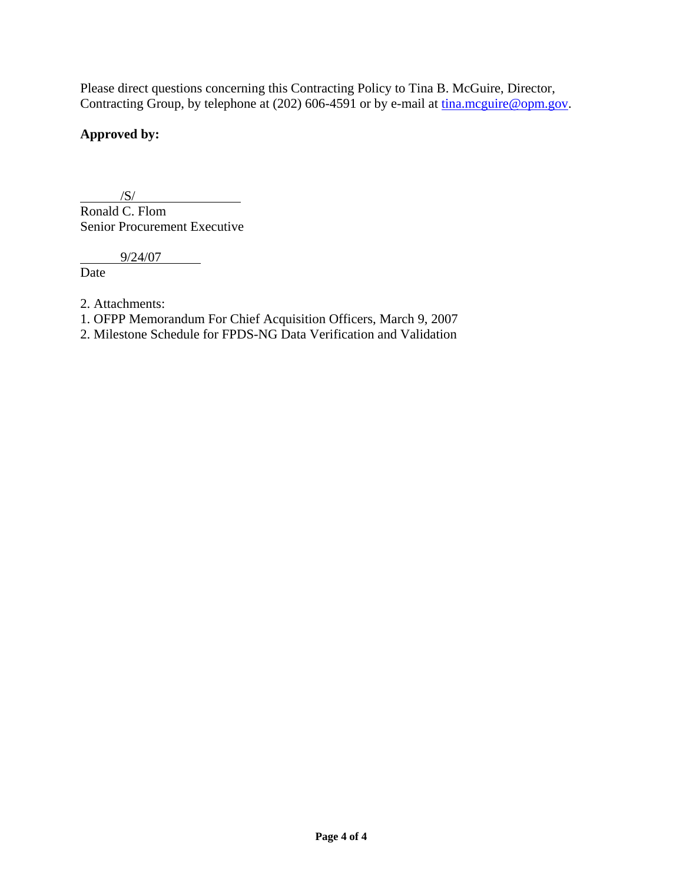Please direct questions concerning this Contracting Policy to Tina B. McGuire, Director, Contracting Group, by telephone at  $(202)$  606-4591 or by e-mail at  $\underline{\text{tina.mcguire}\,\textcircled{pom.gov}}$ .

## **Approved by:**

 $/S/$ Ronald C. Flom Senior Procurement Executive

9/24/07

Date

- 2. Attachments:
- 1. OFPP Memorandum For Chief Acquisition Officers, March 9, 2007
- 2. Milestone Schedule for FPDS-NG Data Verification and Validation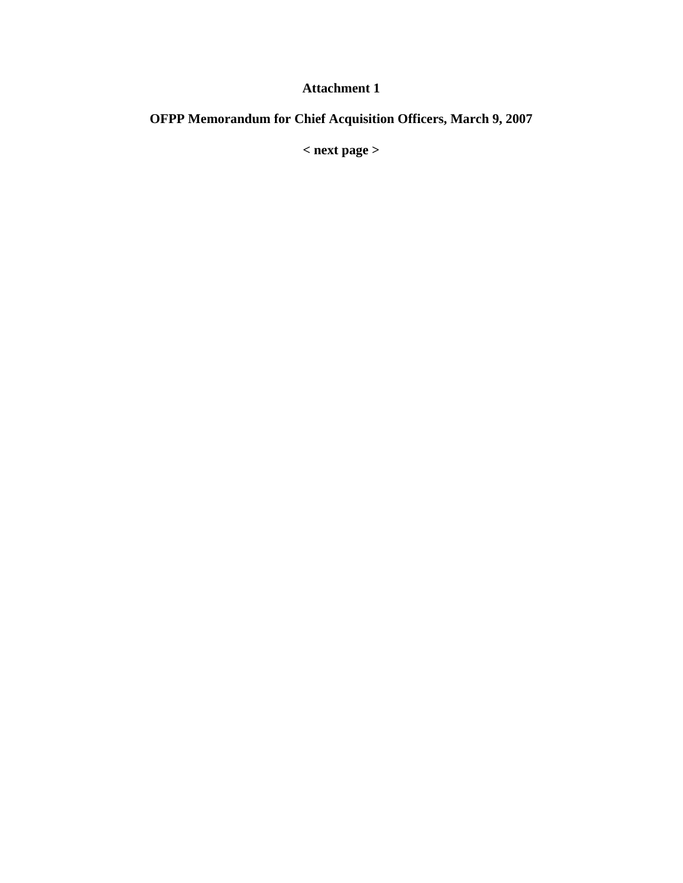## **Attachment 1**

# **OFPP Memorandum for Chief Acquisition Officers, March 9, 2007**

**< next page >**